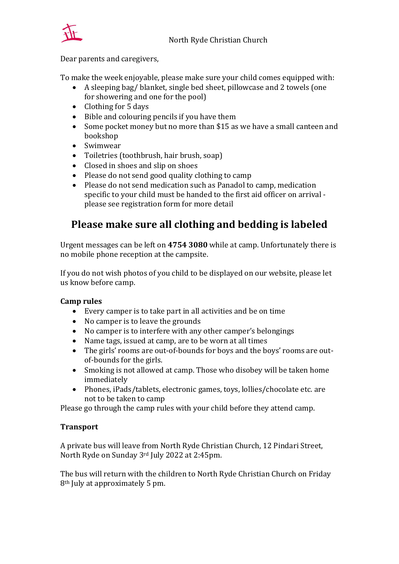

#### Dear parents and caregivers,

To make the week enjoyable, please make sure your child comes equipped with:

- A sleeping bag/ blanket, single bed sheet, pillowcase and 2 towels (one for showering and one for the pool)
- Clothing for 5 days
- Bible and colouring pencils if you have them
- Some pocket money but no more than \$15 as we have a small canteen and bookshop
- Swimwear
- Toiletries (toothbrush, hair brush, soap)
- Closed in shoes and slip on shoes
- Please do not send good quality clothing to camp
- Please do not send medication such as Panadol to camp, medication specific to your child must be handed to the first aid officer on arrival please see registration form for more detail

# **Please make sure all clothing and bedding is labeled**

Urgent messages can be left on **4754 3080** while at camp. Unfortunately there is no mobile phone reception at the campsite.

If you do not wish photos of you child to be displayed on our website, please let us know before camp.

## **Camp rules**

- Every camper is to take part in all activities and be on time
- No camper is to leave the grounds
- No camper is to interfere with any other camper's belongings
- Name tags, issued at camp, are to be worn at all times
- The girls' rooms are out-of-bounds for boys and the boys' rooms are outof-bounds for the girls.
- Smoking is not allowed at camp. Those who disobey will be taken home immediately
- Phones, iPads/tablets, electronic games, toys, lollies/chocolate etc. are not to be taken to camp

Please go through the camp rules with your child before they attend camp.

## **Transport**

A private bus will leave from North Ryde Christian Church, 12 Pindari Street, North Ryde on Sunday 3rd July 2022 at 2:45pm.

The bus will return with the children to North Ryde Christian Church on Friday 8th July at approximately 5 pm.